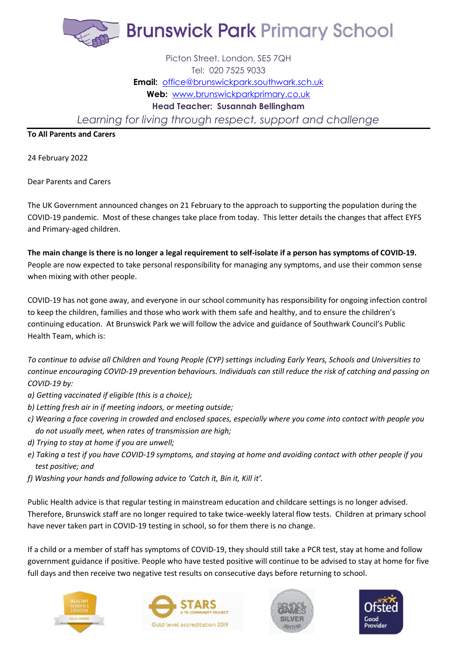

## Picton Street, London, SE5 7QH Tel: 020 7525 9033 **Email:** [office@brunswickpark.southwark.sch.uk](mailto:office@brunswickpark.southwark.sch.uk) **Web:** [www.brunswickparkprimary.co.uk](http://www.brunswickparkprimary.co.uk/) **Head Teacher: Susannah Bellingham** *Learning for living through respect, support and challenge*

**To All Parents and Carers**

24 February 2022

Dear Parents and Carers

The UK Government announced changes on 21 February to the approach to supporting the population during the COVID-19 pandemic. Most of these changes take place from today. This letter details the changes that affect EYFS and Primary-aged children.

**The main change is there is no longer a legal requirement to self-isolate if a person has symptoms of COVID-19.** People are now expected to take personal responsibility for managing any symptoms, and use their common sense when mixing with other people.

COVID-19 has not gone away, and everyone in our school community has responsibility for ongoing infection control to keep the children, families and those who work with them safe and healthy, and to ensure the children's continuing education. At Brunswick Park we will follow the advice and guidance of Southwark Council's Public Health Team, which is:

*To continue to advise all Children and Young People (CYP) settings including Early Years, Schools and Universities to continue encouraging COVID-19 prevention behaviours. Individuals can still reduce the risk of catching and passing on COVID-19 by:*

- *a) Getting vaccinated if eligible (this is a choice);*
- *b) Letting fresh air in if meeting indoors, or meeting outside;*
- *c) Wearing a face covering in crowded and enclosed spaces, especially where you come into contact with people you do not usually meet, when rates of transmission are high;*
- *d) Trying to stay at home if you are unwell;*
- *e) Taking a test if you have COVID-19 symptoms, and staying at home and avoiding contact with other people if you test positive; and*
- *f) Washing your hands and following advice to 'Catch it, Bin it, Kill it'.*

Public Health advice is that regular testing in mainstream education and childcare settings is no longer advised. Therefore, Brunswick staff are no longer required to take twice-weekly lateral flow tests. Children at primary school have never taken part in COVID-19 testing in school, so for them there is no change.

If a child or a member of staff has symptoms of COVID-19, they should still take a PCR test, stay at home and follow government guidance if positive. People who have tested positive will continue to be advised to stay at home for five full days and then receive two negative test results on consecutive days before returning to school.







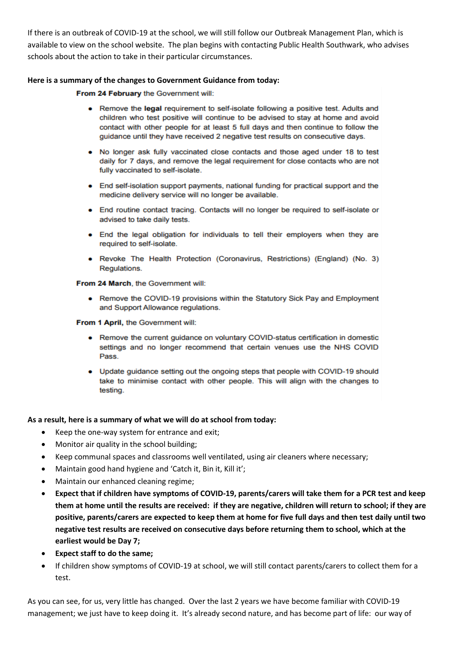If there is an outbreak of COVID-19 at the school, we will still follow our Outbreak Management Plan, which is available to view on the school website. The plan begins with contacting Public Health Southwark, who advises schools about the action to take in their particular circumstances.

## **Here is a summary of the changes to Government Guidance from today:**

From 24 February the Government will:

- Remove the legal requirement to self-isolate following a positive test. Adults and children who test positive will continue to be advised to stay at home and avoid contact with other people for at least 5 full days and then continue to follow the guidance until they have received 2 negative test results on consecutive days.
- No longer ask fully vaccinated close contacts and those aged under 18 to test daily for 7 days, and remove the legal requirement for close contacts who are not fully vaccinated to self-isolate.
- End self-isolation support payments, national funding for practical support and the medicine delivery service will no longer be available.
- End routine contact tracing. Contacts will no longer be required to self-isolate or advised to take daily tests.
- End the legal obligation for individuals to tell their employers when they are required to self-isolate.
- Revoke The Health Protection (Coronavirus, Restrictions) (England) (No. 3) Regulations.

From 24 March, the Government will:

• Remove the COVID-19 provisions within the Statutory Sick Pay and Employment and Support Allowance regulations.

From 1 April, the Government will:

- Remove the current guidance on voluntary COVID-status certification in domestic settings and no longer recommend that certain venues use the NHS COVID Pass.
- Update guidance setting out the ongoing steps that people with COVID-19 should take to minimise contact with other people. This will align with the changes to testing.

## **As a result, here is a summary of what we will do at school from today:**

- Keep the one-way system for entrance and exit;
- Monitor air quality in the school building;
- Keep communal spaces and classrooms well ventilated, using air cleaners where necessary;
- Maintain good hand hygiene and 'Catch it, Bin it, Kill it';
- Maintain our enhanced cleaning regime;
- **Expect that if children have symptoms of COVID-19, parents/carers will take them for a PCR test and keep them at home until the results are received: if they are negative, children will return to school; if they are positive, parents/carers are expected to keep them at home for five full days and then test daily until two negative test results are received on consecutive days before returning them to school, which at the earliest would be Day 7;**
- **Expect staff to do the same;**
- If children show symptoms of COVID-19 at school, we will still contact parents/carers to collect them for a test.

As you can see, for us, very little has changed. Over the last 2 years we have become familiar with COVID-19 management; we just have to keep doing it. It's already second nature, and has become part of life: our way of